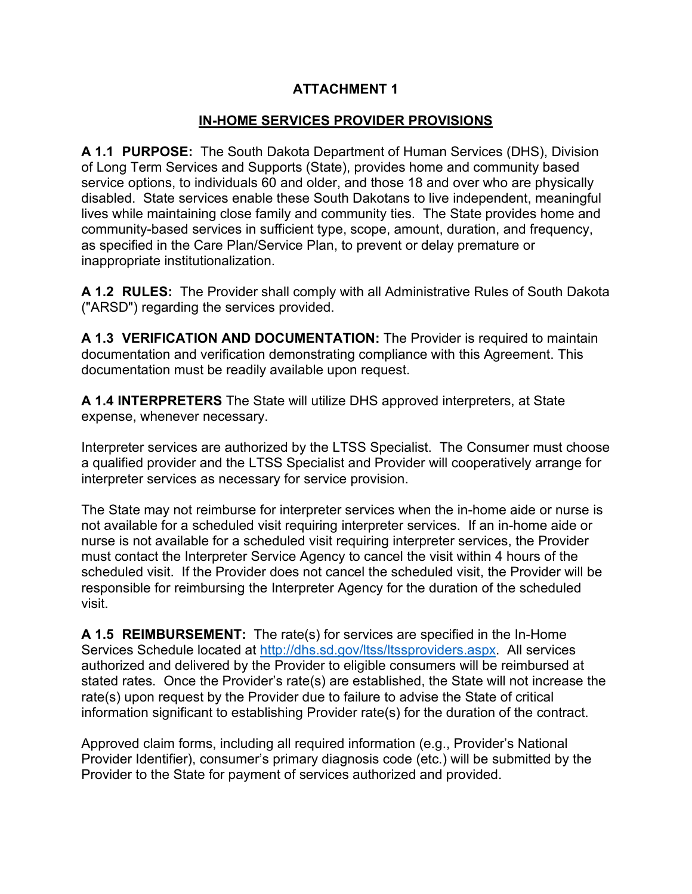#### **ATTACHMENT 1**

## **IN-HOME SERVICES PROVIDER PROVISIONS**

**A 1.1 PURPOSE:** The South Dakota Department of Human Services (DHS), Division of Long Term Services and Supports (State), provides home and community based service options, to individuals 60 and older, and those 18 and over who are physically disabled. State services enable these South Dakotans to live independent, meaningful lives while maintaining close family and community ties. The State provides home and community-based services in sufficient type, scope, amount, duration, and frequency, as specified in the Care Plan/Service Plan, to prevent or delay premature or inappropriate institutionalization.

**A 1.2 RULES:** The Provider shall comply with all Administrative Rules of South Dakota ("ARSD") regarding the services provided.

**A 1.3 VERIFICATION AND DOCUMENTATION:** The Provider is required to maintain documentation and verification demonstrating compliance with this Agreement. This documentation must be readily available upon request.

**A 1.4 INTERPRETERS** The State will utilize DHS approved interpreters, at State expense, whenever necessary.

Interpreter services are authorized by the LTSS Specialist. The Consumer must choose a qualified provider and the LTSS Specialist and Provider will cooperatively arrange for interpreter services as necessary for service provision.

The State may not reimburse for interpreter services when the in-home aide or nurse is not available for a scheduled visit requiring interpreter services. If an in-home aide or nurse is not available for a scheduled visit requiring interpreter services, the Provider must contact the Interpreter Service Agency to cancel the visit within 4 hours of the scheduled visit. If the Provider does not cancel the scheduled visit, the Provider will be responsible for reimbursing the Interpreter Agency for the duration of the scheduled visit.

**A 1.5 REIMBURSEMENT:** The rate(s) for services are specified in the In-Home Services Schedule located at [http://dhs.sd.gov/ltss/ltssproviders.aspx.](http://dhs.sd.gov/ltss/ltssproviders.aspx) All services authorized and delivered by the Provider to eligible consumers will be reimbursed at stated rates. Once the Provider's rate(s) are established, the State will not increase the rate(s) upon request by the Provider due to failure to advise the State of critical information significant to establishing Provider rate(s) for the duration of the contract.

Approved claim forms, including all required information (e.g., Provider's National Provider Identifier), consumer's primary diagnosis code (etc.) will be submitted by the Provider to the State for payment of services authorized and provided.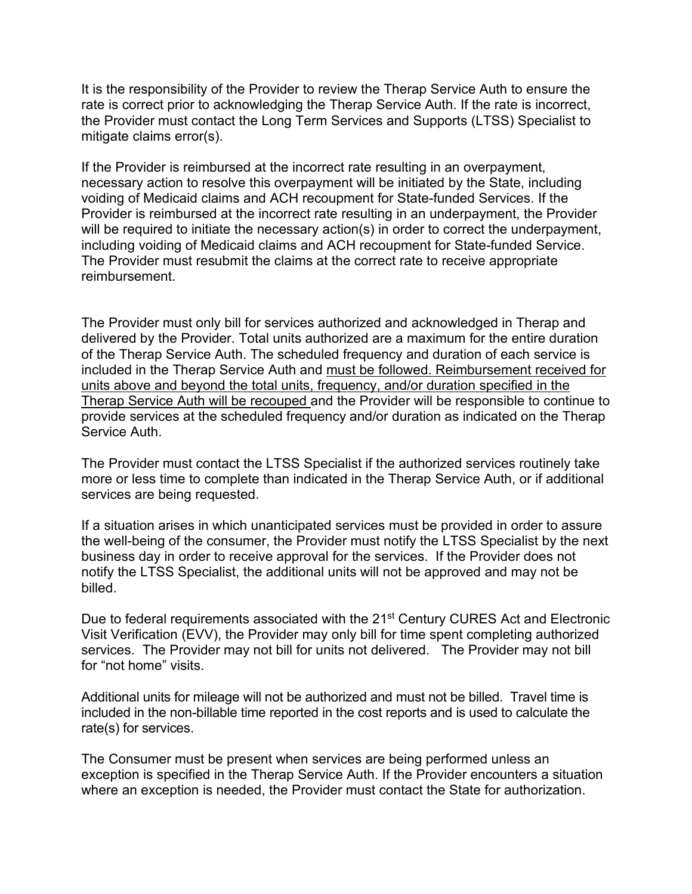It is the responsibility of the Provider to review the Therap Service Auth to ensure the rate is correct prior to acknowledging the Therap Service Auth. If the rate is incorrect, the Provider must contact the Long Term Services and Supports (LTSS) Specialist to mitigate claims error(s).

If the Provider is reimbursed at the incorrect rate resulting in an overpayment, necessary action to resolve this overpayment will be initiated by the State, including voiding of Medicaid claims and ACH recoupment for State-funded Services. If the Provider is reimbursed at the incorrect rate resulting in an underpayment, the Provider will be required to initiate the necessary action(s) in order to correct the underpayment, including voiding of Medicaid claims and ACH recoupment for State-funded Service. The Provider must resubmit the claims at the correct rate to receive appropriate reimbursement.

The Provider must only bill for services authorized and acknowledged in Therap and delivered by the Provider. Total units authorized are a maximum for the entire duration of the Therap Service Auth. The scheduled frequency and duration of each service is included in the Therap Service Auth and must be followed. Reimbursement received for units above and beyond the total units, frequency, and/or duration specified in the Therap Service Auth will be recouped and the Provider will be responsible to continue to provide services at the scheduled frequency and/or duration as indicated on the Therap Service Auth.

The Provider must contact the LTSS Specialist if the authorized services routinely take more or less time to complete than indicated in the Therap Service Auth, or if additional services are being requested.

If a situation arises in which unanticipated services must be provided in order to assure the well-being of the consumer, the Provider must notify the LTSS Specialist by the next business day in order to receive approval for the services. If the Provider does not notify the LTSS Specialist, the additional units will not be approved and may not be billed.

Due to federal requirements associated with the 21<sup>st</sup> Century CURES Act and Electronic Visit Verification (EVV), the Provider may only bill for time spent completing authorized services. The Provider may not bill for units not delivered. The Provider may not bill for "not home" visits.

Additional units for mileage will not be authorized and must not be billed. Travel time is included in the non-billable time reported in the cost reports and is used to calculate the rate(s) for services.

The Consumer must be present when services are being performed unless an exception is specified in the Therap Service Auth. If the Provider encounters a situation where an exception is needed, the Provider must contact the State for authorization.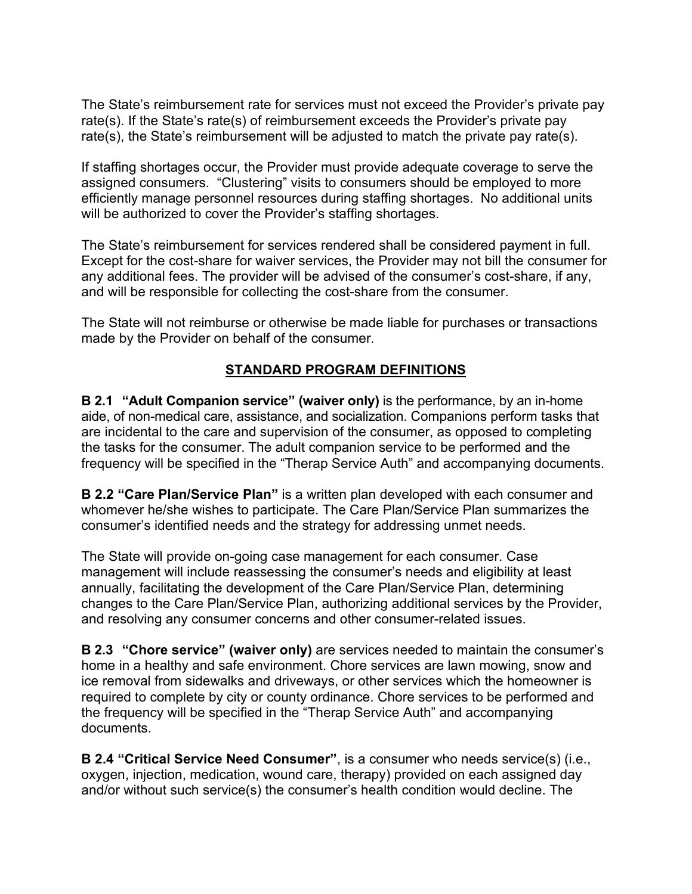The State's reimbursement rate for services must not exceed the Provider's private pay rate(s). If the State's rate(s) of reimbursement exceeds the Provider's private pay rate(s), the State's reimbursement will be adjusted to match the private pay rate(s).

If staffing shortages occur, the Provider must provide adequate coverage to serve the assigned consumers. "Clustering" visits to consumers should be employed to more efficiently manage personnel resources during staffing shortages. No additional units will be authorized to cover the Provider's staffing shortages.

The State's reimbursement for services rendered shall be considered payment in full. Except for the cost-share for waiver services, the Provider may not bill the consumer for any additional fees. The provider will be advised of the consumer's cost-share, if any, and will be responsible for collecting the cost-share from the consumer.

The State will not reimburse or otherwise be made liable for purchases or transactions made by the Provider on behalf of the consumer.

## **STANDARD PROGRAM DEFINITIONS**

**B 2.1 "Adult Companion service" (waiver only)** is the performance, by an in-home aide, of non-medical care, assistance, and socialization. Companions perform tasks that are incidental to the care and supervision of the consumer, as opposed to completing the tasks for the consumer. The adult companion service to be performed and the frequency will be specified in the "Therap Service Auth" and accompanying documents.

**B 2.2 "Care Plan/Service Plan"** is a written plan developed with each consumer and whomever he/she wishes to participate. The Care Plan/Service Plan summarizes the consumer's identified needs and the strategy for addressing unmet needs.

The State will provide on-going case management for each consumer. Case management will include reassessing the consumer's needs and eligibility at least annually, facilitating the development of the Care Plan/Service Plan, determining changes to the Care Plan/Service Plan, authorizing additional services by the Provider, and resolving any consumer concerns and other consumer-related issues.

**B 2.3 "Chore service" (waiver only)** are services needed to maintain the consumer's home in a healthy and safe environment. Chore services are lawn mowing, snow and ice removal from sidewalks and driveways, or other services which the homeowner is required to complete by city or county ordinance. Chore services to be performed and the frequency will be specified in the "Therap Service Auth" and accompanying documents.

**B 2.4 "Critical Service Need Consumer"**, is a consumer who needs service(s) (i.e., oxygen, injection, medication, wound care, therapy) provided on each assigned day and/or without such service(s) the consumer's health condition would decline. The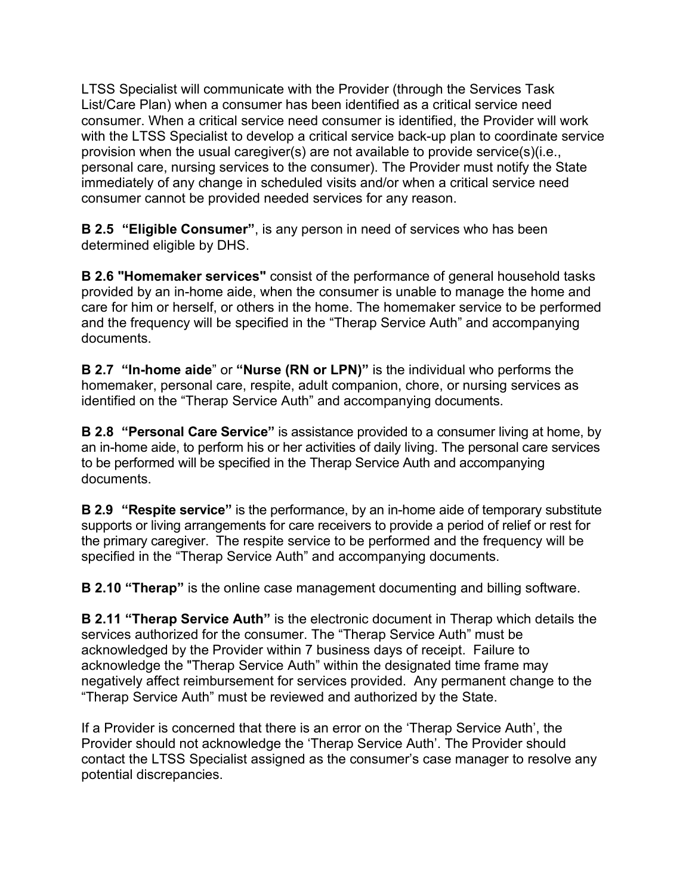LTSS Specialist will communicate with the Provider (through the Services Task List/Care Plan) when a consumer has been identified as a critical service need consumer. When a critical service need consumer is identified, the Provider will work with the LTSS Specialist to develop a critical service back-up plan to coordinate service provision when the usual caregiver(s) are not available to provide service(s)(i.e., personal care, nursing services to the consumer). The Provider must notify the State immediately of any change in scheduled visits and/or when a critical service need consumer cannot be provided needed services for any reason.

**B 2.5 "Eligible Consumer"**, is any person in need of services who has been determined eligible by DHS.

**B 2.6 "Homemaker services"** consist of the performance of general household tasks provided by an in-home aide, when the consumer is unable to manage the home and care for him or herself, or others in the home. The homemaker service to be performed and the frequency will be specified in the "Therap Service Auth" and accompanying documents.

**B 2.7 "In-home aide**" or **"Nurse (RN or LPN)"** is the individual who performs the homemaker, personal care, respite, adult companion, chore, or nursing services as identified on the "Therap Service Auth" and accompanying documents.

**B 2.8 "Personal Care Service"** is assistance provided to a consumer living at home, by an in-home aide, to perform his or her activities of daily living. The personal care services to be performed will be specified in the Therap Service Auth and accompanying documents.

**B 2.9 "Respite service"** is the performance, by an in-home aide of temporary substitute supports or living arrangements for care receivers to provide a period of relief or rest for the primary caregiver. The respite service to be performed and the frequency will be specified in the "Therap Service Auth" and accompanying documents.

**B 2.10 "Therap"** is the online case management documenting and billing software.

**B 2.11 "Therap Service Auth"** is the electronic document in Therap which details the services authorized for the consumer. The "Therap Service Auth" must be acknowledged by the Provider within 7 business days of receipt. Failure to acknowledge the "Therap Service Auth" within the designated time frame may negatively affect reimbursement for services provided. Any permanent change to the "Therap Service Auth" must be reviewed and authorized by the State.

If a Provider is concerned that there is an error on the 'Therap Service Auth', the Provider should not acknowledge the 'Therap Service Auth'. The Provider should contact the LTSS Specialist assigned as the consumer's case manager to resolve any potential discrepancies.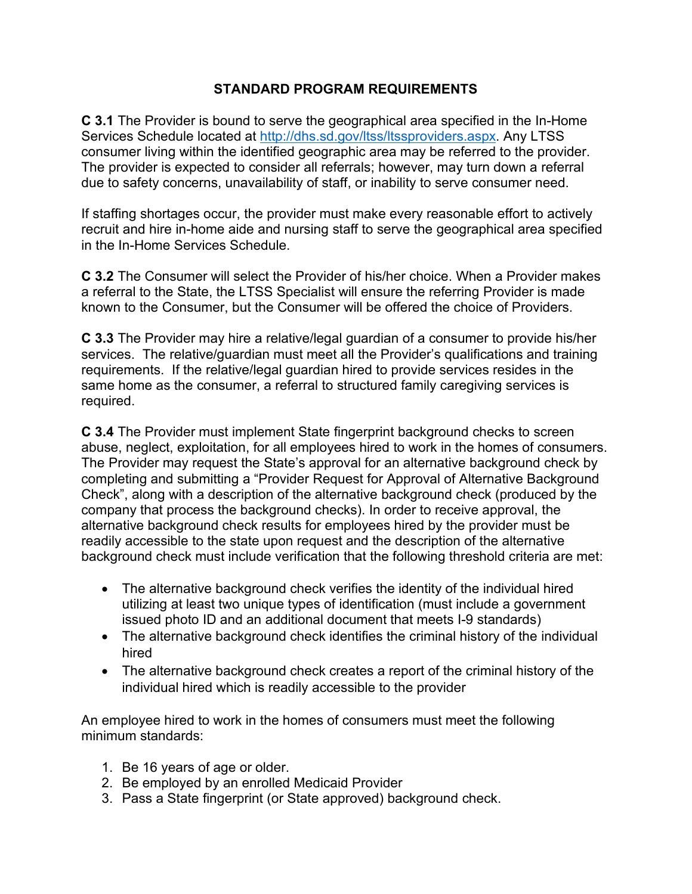#### **STANDARD PROGRAM REQUIREMENTS**

**C 3.1** The Provider is bound to serve the geographical area specified in the In-Home Services Schedule located at [http://dhs.sd.gov/ltss/ltssproviders.aspx.](http://dhs.sd.gov/ltss/ltssproviders.aspx) Any LTSS consumer living within the identified geographic area may be referred to the provider. The provider is expected to consider all referrals; however, may turn down a referral due to safety concerns, unavailability of staff, or inability to serve consumer need.

If staffing shortages occur, the provider must make every reasonable effort to actively recruit and hire in-home aide and nursing staff to serve the geographical area specified in the In-Home Services Schedule.

**C 3.2** The Consumer will select the Provider of his/her choice. When a Provider makes a referral to the State, the LTSS Specialist will ensure the referring Provider is made known to the Consumer, but the Consumer will be offered the choice of Providers.

**C 3.3** The Provider may hire a relative/legal guardian of a consumer to provide his/her services. The relative/guardian must meet all the Provider's qualifications and training requirements. If the relative/legal guardian hired to provide services resides in the same home as the consumer, a referral to structured family caregiving services is required.

**C 3.4** The Provider must implement State fingerprint background checks to screen abuse, neglect, exploitation, for all employees hired to work in the homes of consumers. The Provider may request the State's approval for an alternative background check by completing and submitting a "Provider Request for Approval of Alternative Background Check", along with a description of the alternative background check (produced by the company that process the background checks). In order to receive approval, the alternative background check results for employees hired by the provider must be readily accessible to the state upon request and the description of the alternative background check must include verification that the following threshold criteria are met:

- The alternative background check verifies the identity of the individual hired utilizing at least two unique types of identification (must include a government issued photo ID and an additional document that meets I-9 standards)
- The alternative background check identifies the criminal history of the individual hired
- The alternative background check creates a report of the criminal history of the individual hired which is readily accessible to the provider

An employee hired to work in the homes of consumers must meet the following minimum standards:

- 1. Be 16 years of age or older.
- 2. Be employed by an enrolled Medicaid Provider
- 3. Pass a State fingerprint (or State approved) background check.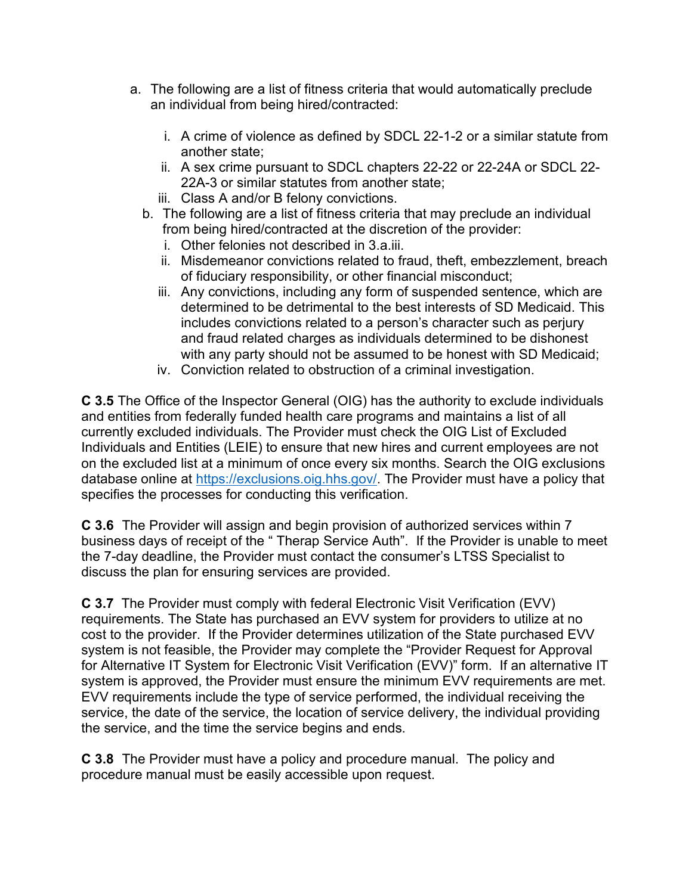- a. The following are a list of fitness criteria that would automatically preclude an individual from being hired/contracted:
	- i. A crime of violence as defined by SDCL 22-1-2 or a similar statute from another state;
	- ii. A sex crime pursuant to SDCL chapters 22-22 or 22-24A or SDCL 22- 22A-3 or similar statutes from another state;
	- iii. Class A and/or B felony convictions.
	- b. The following are a list of fitness criteria that may preclude an individual from being hired/contracted at the discretion of the provider:
		- i. Other felonies not described in 3.a.iii.
		- ii. Misdemeanor convictions related to fraud, theft, embezzlement, breach of fiduciary responsibility, or other financial misconduct;
		- iii. Any convictions, including any form of suspended sentence, which are determined to be detrimental to the best interests of SD Medicaid. This includes convictions related to a person's character such as perjury and fraud related charges as individuals determined to be dishonest with any party should not be assumed to be honest with SD Medicaid;
		- iv. Conviction related to obstruction of a criminal investigation.

**C 3.5** The Office of the Inspector General (OIG) has the authority to exclude individuals and entities from federally funded health care programs and maintains a list of all currently excluded individuals. The Provider must check the OIG List of Excluded Individuals and Entities (LEIE) to ensure that new hires and current employees are not on the excluded list at a minimum of once every six months. Search the OIG exclusions database online at [https://exclusions.oig.hhs.gov/.](https://exclusions.oig.hhs.gov/) The Provider must have a policy that specifies the processes for conducting this verification.

**C 3.6** The Provider will assign and begin provision of authorized services within 7 business days of receipt of the " Therap Service Auth". If the Provider is unable to meet the 7-day deadline, the Provider must contact the consumer's LTSS Specialist to discuss the plan for ensuring services are provided.

**C 3.7** The Provider must comply with federal Electronic Visit Verification (EVV) requirements. The State has purchased an EVV system for providers to utilize at no cost to the provider. If the Provider determines utilization of the State purchased EVV system is not feasible, the Provider may complete the "Provider Request for Approval for Alternative IT System for Electronic Visit Verification (EVV)" form. If an alternative IT system is approved, the Provider must ensure the minimum EVV requirements are met. EVV requirements include the type of service performed, the individual receiving the service, the date of the service, the location of service delivery, the individual providing the service, and the time the service begins and ends.

**C 3.8** The Provider must have a policy and procedure manual. The policy and procedure manual must be easily accessible upon request.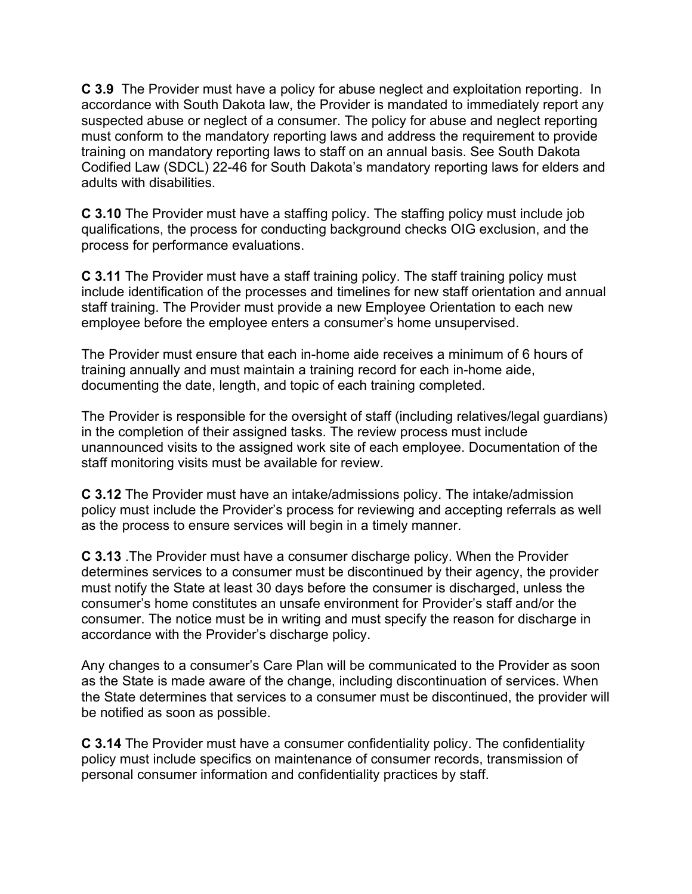**C 3.9** The Provider must have a policy for abuse neglect and exploitation reporting. In accordance with South Dakota law, the Provider is mandated to immediately report any suspected abuse or neglect of a consumer. The policy for abuse and neglect reporting must conform to the mandatory reporting laws and address the requirement to provide training on mandatory reporting laws to staff on an annual basis. See South Dakota Codified Law (SDCL) 22-46 for South Dakota's mandatory reporting laws for elders and adults with disabilities.

**C 3.10** The Provider must have a staffing policy. The staffing policy must include job qualifications, the process for conducting background checks OIG exclusion, and the process for performance evaluations.

**C 3.11** The Provider must have a staff training policy. The staff training policy must include identification of the processes and timelines for new staff orientation and annual staff training. The Provider must provide a new Employee Orientation to each new employee before the employee enters a consumer's home unsupervised.

The Provider must ensure that each in-home aide receives a minimum of 6 hours of training annually and must maintain a training record for each in-home aide, documenting the date, length, and topic of each training completed.

The Provider is responsible for the oversight of staff (including relatives/legal guardians) in the completion of their assigned tasks. The review process must include unannounced visits to the assigned work site of each employee. Documentation of the staff monitoring visits must be available for review.

**C 3.12** The Provider must have an intake/admissions policy. The intake/admission policy must include the Provider's process for reviewing and accepting referrals as well as the process to ensure services will begin in a timely manner.

**C 3.13** .The Provider must have a consumer discharge policy. When the Provider determines services to a consumer must be discontinued by their agency, the provider must notify the State at least 30 days before the consumer is discharged, unless the consumer's home constitutes an unsafe environment for Provider's staff and/or the consumer. The notice must be in writing and must specify the reason for discharge in accordance with the Provider's discharge policy.

Any changes to a consumer's Care Plan will be communicated to the Provider as soon as the State is made aware of the change, including discontinuation of services. When the State determines that services to a consumer must be discontinued, the provider will be notified as soon as possible.

**C 3.14** The Provider must have a consumer confidentiality policy. The confidentiality policy must include specifics on maintenance of consumer records, transmission of personal consumer information and confidentiality practices by staff.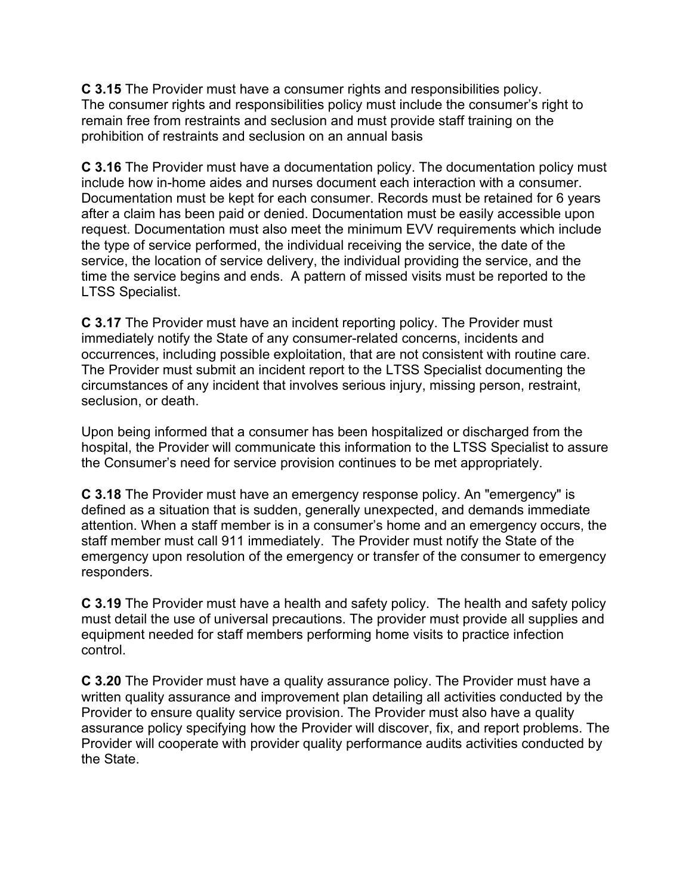**C 3.15** The Provider must have a consumer rights and responsibilities policy. The consumer rights and responsibilities policy must include the consumer's right to remain free from restraints and seclusion and must provide staff training on the prohibition of restraints and seclusion on an annual basis

**C 3.16** The Provider must have a documentation policy. The documentation policy must include how in-home aides and nurses document each interaction with a consumer. Documentation must be kept for each consumer. Records must be retained for 6 years after a claim has been paid or denied. Documentation must be easily accessible upon request. Documentation must also meet the minimum EVV requirements which include the type of service performed, the individual receiving the service, the date of the service, the location of service delivery, the individual providing the service, and the time the service begins and ends. A pattern of missed visits must be reported to the LTSS Specialist.

**C 3.17** The Provider must have an incident reporting policy. The Provider must immediately notify the State of any consumer-related concerns, incidents and occurrences, including possible exploitation, that are not consistent with routine care. The Provider must submit an incident report to the LTSS Specialist documenting the circumstances of any incident that involves serious injury, missing person, restraint, seclusion, or death.

Upon being informed that a consumer has been hospitalized or discharged from the hospital, the Provider will communicate this information to the LTSS Specialist to assure the Consumer's need for service provision continues to be met appropriately.

**C 3.18** The Provider must have an emergency response policy. An "emergency" is defined as a situation that is sudden, generally unexpected, and demands immediate attention. When a staff member is in a consumer's home and an emergency occurs, the staff member must call 911 immediately. The Provider must notify the State of the emergency upon resolution of the emergency or transfer of the consumer to emergency responders.

**C 3.19** The Provider must have a health and safety policy. The health and safety policy must detail the use of universal precautions. The provider must provide all supplies and equipment needed for staff members performing home visits to practice infection control.

**C 3.20** The Provider must have a quality assurance policy. The Provider must have a written quality assurance and improvement plan detailing all activities conducted by the Provider to ensure quality service provision. The Provider must also have a quality assurance policy specifying how the Provider will discover, fix, and report problems. The Provider will cooperate with provider quality performance audits activities conducted by the State.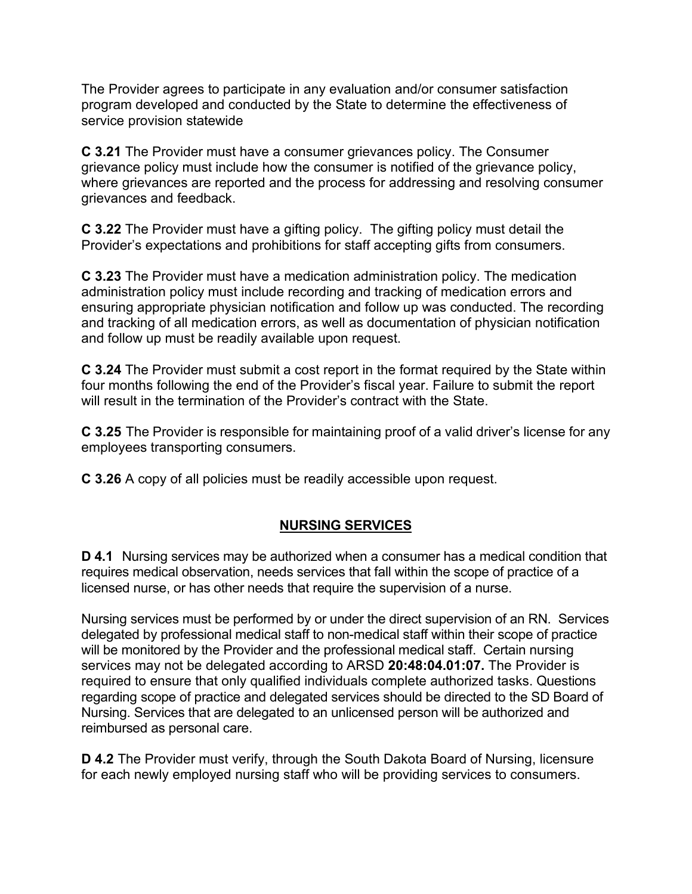The Provider agrees to participate in any evaluation and/or consumer satisfaction program developed and conducted by the State to determine the effectiveness of service provision statewide

**C 3.21** The Provider must have a consumer grievances policy. The Consumer grievance policy must include how the consumer is notified of the grievance policy, where grievances are reported and the process for addressing and resolving consumer grievances and feedback.

**C 3.22** The Provider must have a gifting policy. The gifting policy must detail the Provider's expectations and prohibitions for staff accepting gifts from consumers.

**C 3.23** The Provider must have a medication administration policy. The medication administration policy must include recording and tracking of medication errors and ensuring appropriate physician notification and follow up was conducted. The recording and tracking of all medication errors, as well as documentation of physician notification and follow up must be readily available upon request.

**C 3.24** The Provider must submit a cost report in the format required by the State within four months following the end of the Provider's fiscal year. Failure to submit the report will result in the termination of the Provider's contract with the State.

**C 3.25** The Provider is responsible for maintaining proof of a valid driver's license for any employees transporting consumers.

**C 3.26** A copy of all policies must be readily accessible upon request.

# **NURSING SERVICES**

**D 4.1** Nursing services may be authorized when a consumer has a medical condition that requires medical observation, needs services that fall within the scope of practice of a licensed nurse, or has other needs that require the supervision of a nurse.

Nursing services must be performed by or under the direct supervision of an RN. Services delegated by professional medical staff to non-medical staff within their scope of practice will be monitored by the Provider and the professional medical staff. Certain nursing services may not be delegated according to ARSD **20:48:04.01:07.** The Provider is required to ensure that only qualified individuals complete authorized tasks. Questions regarding scope of practice and delegated services should be directed to the SD Board of Nursing. Services that are delegated to an unlicensed person will be authorized and reimbursed as personal care.

**D 4.2** The Provider must verify, through the South Dakota Board of Nursing, licensure for each newly employed nursing staff who will be providing services to consumers.